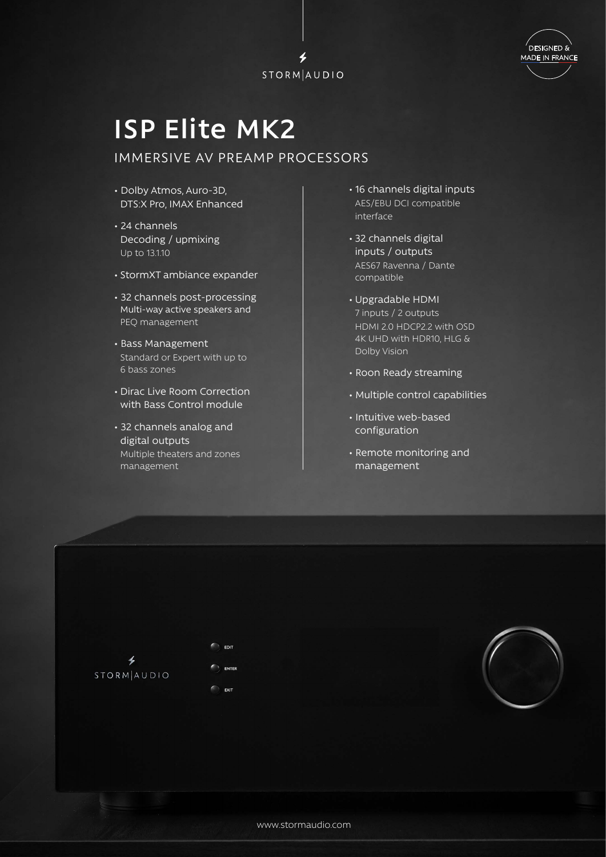



## **ISP Elite MK2**

## IMMERSIVE AV PREAMP PROCESSORS

- Dolby Atmos, Auro-3D, DTS:X Pro, IMAX Enhanced
- 24 channels Decoding / upmixing Up to 13.1.10
- StormXT ambiance expander
- 32 channels post-processing Multi-way active speakers and PEQ management
- Bass Management Standard or Expert with up to 6 bass zones
- Dirac Live Room Correction with Bass Control module
- 32 channels analog and digital outputs Multiple theaters and zones management
- 16 channels digital inputs AES/EBU DCI compatible interface
- 32 channels digital inputs / outputs AES67 Ravenna / Dante compatible
- Upgradable HDMI 7 inputs / 2 outputs HDMI 2.0 HDCP2.2 with OSD 4K UHD with HDR10, HLG & Dolby Vision
- Roon Ready streaming
- Multiple control capabilities
- Intuitive web-based configuration
- Remote monitoring and management



EDIT ENTER EXIT